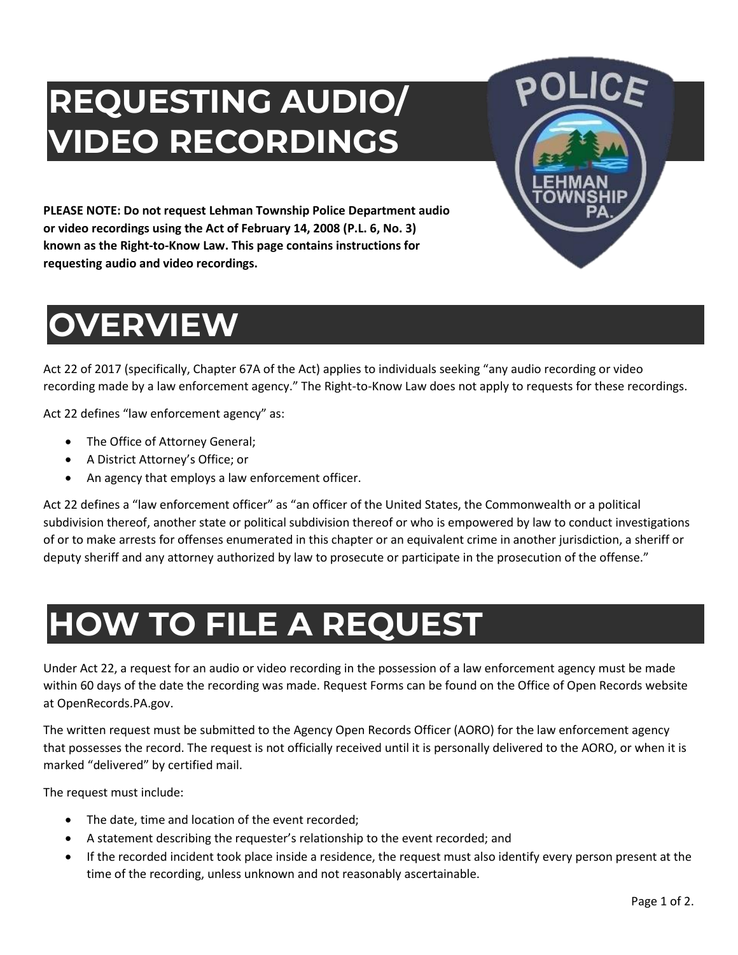# **REQUESTING AUDIO/ VIDEO RECORDINGS**



**PLEASE NOTE: Do not request Lehman Township Police Department audio or video recordings using the Act of February 14, 2008 (P.L. 6, No. 3) known as the Right-to-Know Law. This page contains instructions for requesting audio and video recordings.**

## **OVERVIEW**

Act 22 of 2017 (specifically, Chapter 67A of the Act) applies to individuals seeking "any audio recording or video recording made by a law enforcement agency." The Right-to-Know Law does not apply to requests for these recordings.

Act 22 defines "law enforcement agency" as:

- The Office of Attorney General;
- A District Attorney's Office; or
- An agency that employs a law enforcement officer.

Act 22 defines a "law enforcement officer" as "an officer of the United States, the Commonwealth or a political subdivision thereof, another state or political subdivision thereof or who is empowered by law to conduct investigations of or to make arrests for offenses enumerated in this chapter or an equivalent crime in another jurisdiction, a sheriff or deputy sheriff and any attorney authorized by law to prosecute or participate in the prosecution of the offense."

## **HOW TO FILE A REQUEST**

Under Act 22, a request for an audio or video recording in the possession of a law enforcement agency must be made within 60 days of the date the recording was made. Request Forms can be found on the Office of Open Records website at OpenRecords.PA.gov.

The written request must be submitted to the Agency Open Records Officer (AORO) for the law enforcement agency that possesses the record. The request is not officially received until it is personally delivered to the AORO, or when it is marked "delivered" by certified mail.

The request must include:

- The date, time and location of the event recorded;
- A statement describing the requester's relationship to the event recorded; and
- If the recorded incident took place inside a residence, the request must also identify every person present at the time of the recording, unless unknown and not reasonably ascertainable.